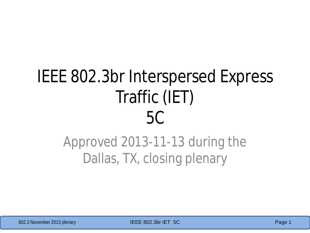# IEEE 802.3br Interspersed Express Traffic (IET) 5C

### Approved 2013-11-13 during the Dallas, TX, closing plenary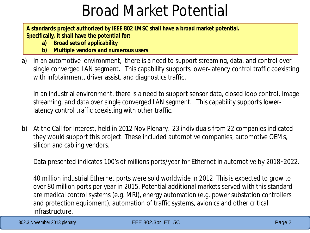### Broad Market Potential

**A standards project authorized by IEEE 802 LMSC shall have a broad market potential. Specifically, it shall have the potential for:**

- **a) Broad sets of applicability**
- **b) Multiple vendors and numerous users**
- a) In an automotive environment, there is a need to support streaming, data, and control over single converged LAN segment. This capability supports lower-latency control traffic coexisting with infotainment, driver assist, and diagnostics traffic.

In an industrial environment, there is a need to support sensor data, closed loop control, Image streaming, and data over single converged LAN segment. This capability supports lowerlatency control traffic coexisting with other traffic.

b) At the Call for Interest, held in 2012 Nov Plenary, 23 individuals from 22 companies indicated they would support this project. These included automotive companies, automotive OEMs, silicon and cabling vendors.

Data presented indicates 100's of millions ports/year for Ethernet in automotive by 2018~2022.

40 million industrial Ethernet ports were sold worldwide in 2012. This is expected to grow to over 80 million ports per year in 2015. Potential additional markets served with this standard are medical control systems (e.g. MRI), energy automation (e.g. power substation controllers and protection equipment), automation of traffic systems, avionics and other critical infrastructure.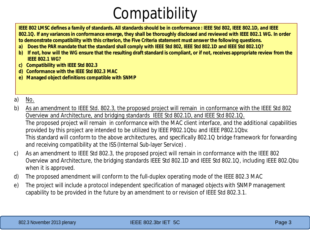## **Compatibility**

**IEEE 802 LMSC defines a family of standards. All standards should be in conformance : IEEE Std 802, IEEE 802.1D, and IEEE 802.1Q. If any variances in conformance emerge, they shall be thoroughly disclosed and reviewed with IEEE 802.1 WG. In order to demonstrate compatibility with this criterion, the Five Criteria statement must answer the following questions.**

- **a) Does the PAR mandate that the standard shall comply with IEEE Std 802, IEEE Std 802.1D and IEEE Std 802.1Q?**
- **b) If not, how will the WG ensure that the resulting draft standard is compliant, or if not, receives appropriate review from the IEEE 802.1 WG?**
- **c) Compatibility with IEEE Std 802.3**
- **d) Conformance with the IEEE Std 802.3 MAC**
- **e) Managed object definitions compatible with SNMP**

#### a) No.

- b) As an amendment to IEEE Std. 802.3, the proposed project will remain in conformance with the IEEE Std 802 Overview and Architecture, and bridging standards IEEE Std 802.1D, and IEEE Std 802.1Q. The proposed project will remain in conformance with the MAC client interface, and the additional capabilities provided by this project are intended to be utilized by IEEE P802.1Qbu and IEEE P802.1Qbv. This standard will conform to the above architectures, and specifically 802.1Q bridge framework for forwarding and receiving compatibility at the ISS (Internal Sub-layer Service) .
- c) As an amendment to IEEE Std 802.3, the proposed project will remain in conformance with the IEEE 802 Overview and Architecture, the bridging standards IEEE Std 802.1D and IEEE Std 802.1Q, including IEEE 802.Qbu when it is approved.
- d) The proposed amendment will conform to the full-duplex operating mode of the IEEE 802.3 MAC
- e) The project will include a protocol independent specification of managed objects with SNMP management capability to be provided in the future by an amendment to or revision of IEEE Std 802.3.1.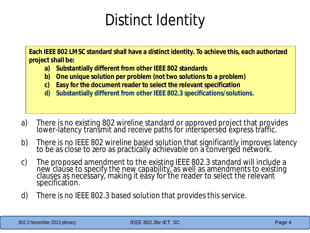## Distinct Identity

**Each IEEE 802 LMSC standard shall have a distinct identity. To achieve this, each authorized project shall be:**

- **a) Substantially different from other IEEE 802 standards**
- **b) One unique solution per problem (not two solutions to a problem)**
- **c) Easy for the document reader to select the relevant specification**
- **d) Substantially different from other IEEE 802.3 specifications/solutions.**
- a) There is no existing 802 wireline standard or approved project that provides lower-latency transmit and receive paths for interspersed express traffic.
- b) There is no IEEE 802 wireline based solution that significantly improves latency to be as close to zero as practically achievable on a converged network.
- c) The proposed amendment to the existing IEEE 802.3 standard will include a new clause to specify the new capability, as well as amendments to existing clauses as necessary, making it easy for the reader to select the relevant specification.
- d) There is no IEEE 802.3 based solution that provides this service.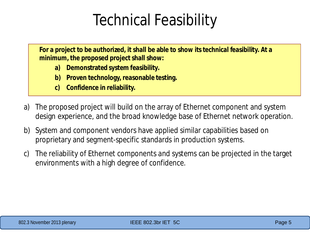### Technical Feasibility

**For a project to be authorized, it shall be able to show its technical feasibility. At a minimum, the proposed project shall show:**

- **a) Demonstrated system feasibility.**
- **b) Proven technology, reasonable testing.**
- **c) Confidence in reliability.**
- a) The proposed project will build on the array of Ethernet component and system design experience, and the broad knowledge base of Ethernet network operation.
- b) System and component vendors have applied similar capabilities based on proprietary and segment-specific standards in production systems.
- c) The reliability of Ethernet components and systems can be projected in the target environments with a high degree of confidence.